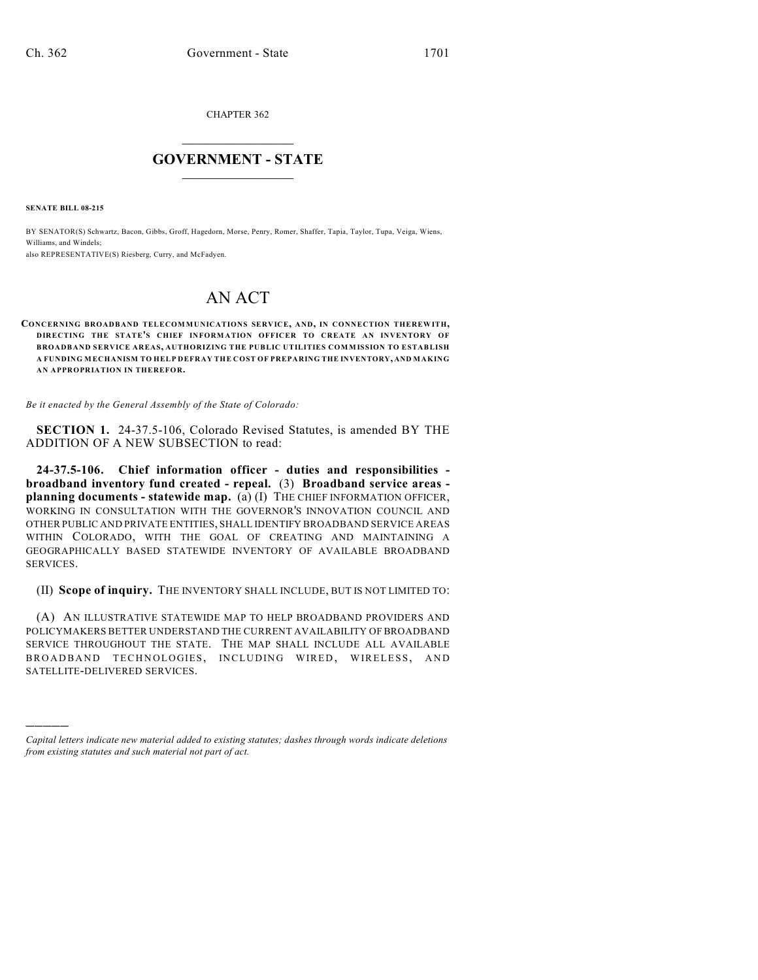CHAPTER 362  $\mathcal{L}_\text{max}$  . The set of the set of the set of the set of the set of the set of the set of the set of the set of the set of the set of the set of the set of the set of the set of the set of the set of the set of the set

## **GOVERNMENT - STATE**  $\_$   $\_$   $\_$   $\_$   $\_$   $\_$   $\_$   $\_$   $\_$

**SENATE BILL 08-215**

)))))

BY SENATOR(S) Schwartz, Bacon, Gibbs, Groff, Hagedorn, Morse, Penry, Romer, Shaffer, Tapia, Taylor, Tupa, Veiga, Wiens, Williams, and Windels;

also REPRESENTATIVE(S) Riesberg, Curry, and McFadyen.

## AN ACT

**CONCERNING BROADBAND TELECOMMUNICATIONS SERVICE, AND, IN CONNECTION THEREWITH, DIRECTING THE STATE'S CHIEF INFORMATION OFFICER TO CREATE AN INVENTORY OF BROADBAND SERVICE AREAS, AUTHORIZING THE PUBLIC UTILITIES COMMISSION TO ESTABLISH A FUNDING MECHANISM TO HELP DEFRAY THE COST OF PREPARING THE INVENTORY, AND MAKING AN APPROPRIATION IN THEREFOR.**

*Be it enacted by the General Assembly of the State of Colorado:*

**SECTION 1.** 24-37.5-106, Colorado Revised Statutes, is amended BY THE ADDITION OF A NEW SUBSECTION to read:

**24-37.5-106. Chief information officer - duties and responsibilities broadband inventory fund created - repeal.** (3) **Broadband service areas planning documents - statewide map.** (a) (I) THE CHIEF INFORMATION OFFICER, WORKING IN CONSULTATION WITH THE GOVERNOR'S INNOVATION COUNCIL AND OTHER PUBLIC AND PRIVATE ENTITIES, SHALL IDENTIFY BROADBAND SERVICE AREAS WITHIN COLORADO, WITH THE GOAL OF CREATING AND MAINTAINING A GEOGRAPHICALLY BASED STATEWIDE INVENTORY OF AVAILABLE BROADBAND SERVICES.

(II) **Scope of inquiry.** THE INVENTORY SHALL INCLUDE, BUT IS NOT LIMITED TO:

(A) AN ILLUSTRATIVE STATEWIDE MAP TO HELP BROADBAND PROVIDERS AND POLICYMAKERS BETTER UNDERSTAND THE CURRENT AVAILABILITY OF BROADBAND SERVICE THROUGHOUT THE STATE. THE MAP SHALL INCLUDE ALL AVAILABLE BROADBAND TECHNOLOGIES, INCLUDING WIRED, WIRELESS, AND SATELLITE-DELIVERED SERVICES.

*Capital letters indicate new material added to existing statutes; dashes through words indicate deletions from existing statutes and such material not part of act.*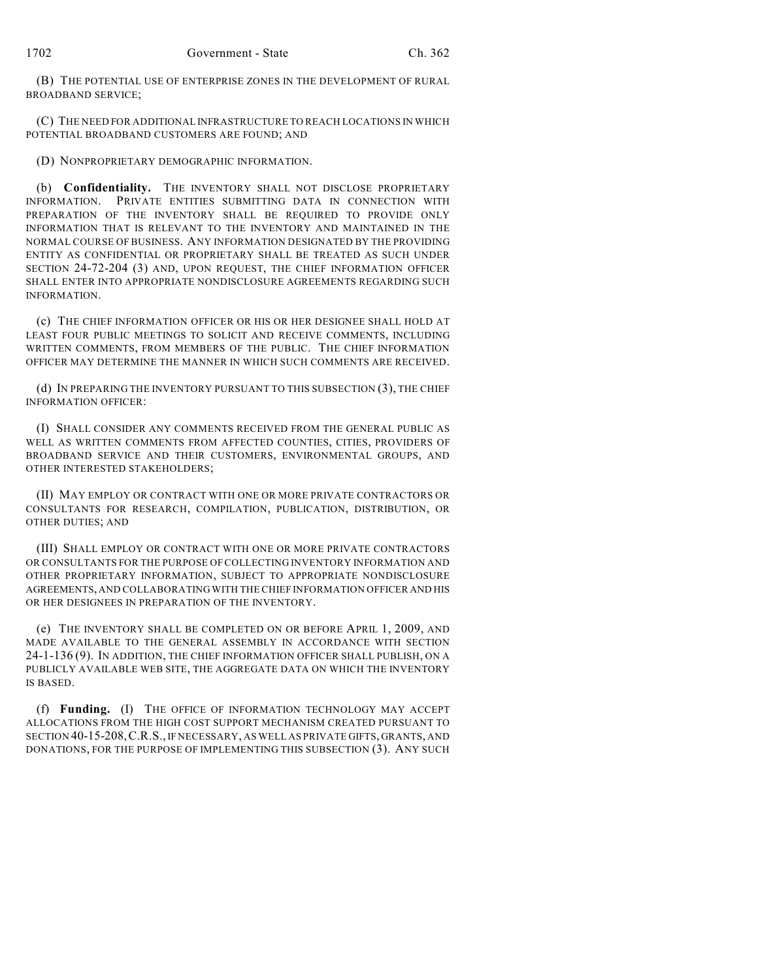(B) THE POTENTIAL USE OF ENTERPRISE ZONES IN THE DEVELOPMENT OF RURAL BROADBAND SERVICE;

(C) THE NEED FOR ADDITIONAL INFRASTRUCTURE TO REACH LOCATIONS IN WHICH POTENTIAL BROADBAND CUSTOMERS ARE FOUND; AND

(D) NONPROPRIETARY DEMOGRAPHIC INFORMATION.

(b) **Confidentiality.** THE INVENTORY SHALL NOT DISCLOSE PROPRIETARY INFORMATION. PRIVATE ENTITIES SUBMITTING DATA IN CONNECTION WITH PREPARATION OF THE INVENTORY SHALL BE REQUIRED TO PROVIDE ONLY INFORMATION THAT IS RELEVANT TO THE INVENTORY AND MAINTAINED IN THE NORMAL COURSE OF BUSINESS. ANY INFORMATION DESIGNATED BY THE PROVIDING ENTITY AS CONFIDENTIAL OR PROPRIETARY SHALL BE TREATED AS SUCH UNDER SECTION 24-72-204 (3) AND, UPON REQUEST, THE CHIEF INFORMATION OFFICER SHALL ENTER INTO APPROPRIATE NONDISCLOSURE AGREEMENTS REGARDING SUCH INFORMATION.

(c) THE CHIEF INFORMATION OFFICER OR HIS OR HER DESIGNEE SHALL HOLD AT LEAST FOUR PUBLIC MEETINGS TO SOLICIT AND RECEIVE COMMENTS, INCLUDING WRITTEN COMMENTS, FROM MEMBERS OF THE PUBLIC. THE CHIEF INFORMATION OFFICER MAY DETERMINE THE MANNER IN WHICH SUCH COMMENTS ARE RECEIVED.

(d) IN PREPARING THE INVENTORY PURSUANT TO THIS SUBSECTION (3), THE CHIEF INFORMATION OFFICER:

(I) SHALL CONSIDER ANY COMMENTS RECEIVED FROM THE GENERAL PUBLIC AS WELL AS WRITTEN COMMENTS FROM AFFECTED COUNTIES, CITIES, PROVIDERS OF BROADBAND SERVICE AND THEIR CUSTOMERS, ENVIRONMENTAL GROUPS, AND OTHER INTERESTED STAKEHOLDERS;

(II) MAY EMPLOY OR CONTRACT WITH ONE OR MORE PRIVATE CONTRACTORS OR CONSULTANTS FOR RESEARCH, COMPILATION, PUBLICATION, DISTRIBUTION, OR OTHER DUTIES; AND

(III) SHALL EMPLOY OR CONTRACT WITH ONE OR MORE PRIVATE CONTRACTORS OR CONSULTANTS FOR THE PURPOSE OF COLLECTING INVENTORY INFORMATION AND OTHER PROPRIETARY INFORMATION, SUBJECT TO APPROPRIATE NONDISCLOSURE AGREEMENTS, AND COLLABORATING WITH THE CHIEF INFORMATION OFFICER AND HIS OR HER DESIGNEES IN PREPARATION OF THE INVENTORY.

(e) THE INVENTORY SHALL BE COMPLETED ON OR BEFORE APRIL 1, 2009, AND MADE AVAILABLE TO THE GENERAL ASSEMBLY IN ACCORDANCE WITH SECTION 24-1-136 (9). IN ADDITION, THE CHIEF INFORMATION OFFICER SHALL PUBLISH, ON A PUBLICLY AVAILABLE WEB SITE, THE AGGREGATE DATA ON WHICH THE INVENTORY IS BASED.

(f) **Funding.** (I) THE OFFICE OF INFORMATION TECHNOLOGY MAY ACCEPT ALLOCATIONS FROM THE HIGH COST SUPPORT MECHANISM CREATED PURSUANT TO SECTION 40-15-208,C.R.S., IF NECESSARY, AS WELL AS PRIVATE GIFTS, GRANTS, AND DONATIONS, FOR THE PURPOSE OF IMPLEMENTING THIS SUBSECTION (3). ANY SUCH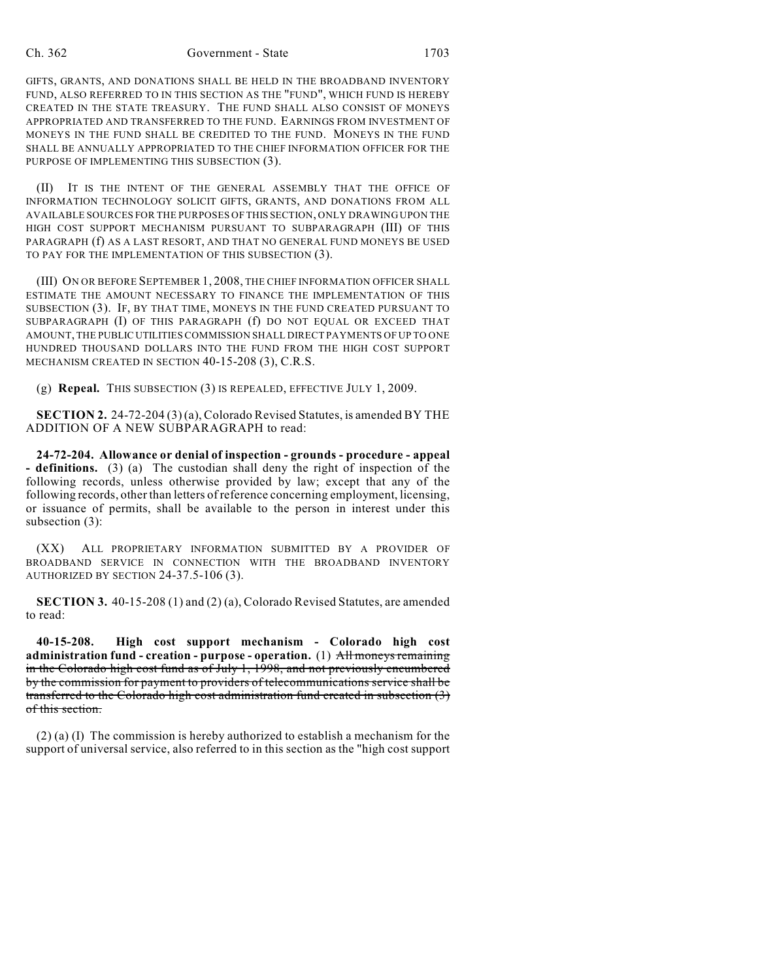GIFTS, GRANTS, AND DONATIONS SHALL BE HELD IN THE BROADBAND INVENTORY FUND, ALSO REFERRED TO IN THIS SECTION AS THE "FUND", WHICH FUND IS HEREBY CREATED IN THE STATE TREASURY. THE FUND SHALL ALSO CONSIST OF MONEYS APPROPRIATED AND TRANSFERRED TO THE FUND. EARNINGS FROM INVESTMENT OF MONEYS IN THE FUND SHALL BE CREDITED TO THE FUND. MONEYS IN THE FUND SHALL BE ANNUALLY APPROPRIATED TO THE CHIEF INFORMATION OFFICER FOR THE PURPOSE OF IMPLEMENTING THIS SUBSECTION (3).

(II) IT IS THE INTENT OF THE GENERAL ASSEMBLY THAT THE OFFICE OF INFORMATION TECHNOLOGY SOLICIT GIFTS, GRANTS, AND DONATIONS FROM ALL AVAILABLE SOURCES FOR THE PURPOSES OF THIS SECTION, ONLY DRAWING UPON THE HIGH COST SUPPORT MECHANISM PURSUANT TO SUBPARAGRAPH (III) OF THIS PARAGRAPH (f) AS A LAST RESORT, AND THAT NO GENERAL FUND MONEYS BE USED TO PAY FOR THE IMPLEMENTATION OF THIS SUBSECTION (3).

(III) ON OR BEFORE SEPTEMBER 1, 2008, THE CHIEF INFORMATION OFFICER SHALL ESTIMATE THE AMOUNT NECESSARY TO FINANCE THE IMPLEMENTATION OF THIS SUBSECTION (3). IF, BY THAT TIME, MONEYS IN THE FUND CREATED PURSUANT TO SUBPARAGRAPH (I) OF THIS PARAGRAPH (f) DO NOT EQUAL OR EXCEED THAT AMOUNT, THE PUBLIC UTILITIES COMMISSION SHALL DIRECT PAYMENTS OF UP TO ONE HUNDRED THOUSAND DOLLARS INTO THE FUND FROM THE HIGH COST SUPPORT MECHANISM CREATED IN SECTION 40-15-208 (3), C.R.S.

(g) **Repeal.** THIS SUBSECTION (3) IS REPEALED, EFFECTIVE JULY 1, 2009.

**SECTION 2.** 24-72-204 (3) (a), Colorado Revised Statutes, is amended BY THE ADDITION OF A NEW SUBPARAGRAPH to read:

**24-72-204. Allowance or denial of inspection - grounds - procedure - appeal - definitions.** (3) (a) The custodian shall deny the right of inspection of the following records, unless otherwise provided by law; except that any of the following records, other than letters of reference concerning employment, licensing, or issuance of permits, shall be available to the person in interest under this subsection (3):

(XX) ALL PROPRIETARY INFORMATION SUBMITTED BY A PROVIDER OF BROADBAND SERVICE IN CONNECTION WITH THE BROADBAND INVENTORY AUTHORIZED BY SECTION 24-37.5-106 (3).

**SECTION 3.** 40-15-208 (1) and (2) (a), Colorado Revised Statutes, are amended to read:

**40-15-208. High cost support mechanism - Colorado high cost administration fund - creation - purpose - operation.** (1) All moneys remaining in the Colorado high cost fund as of July 1, 1998, and not previously encumbered by the commission for payment to providers of telecommunications service shall be transferred to the Colorado high cost administration fund created in subsection (3) of this section.

(2) (a) (I) The commission is hereby authorized to establish a mechanism for the support of universal service, also referred to in this section as the "high cost support